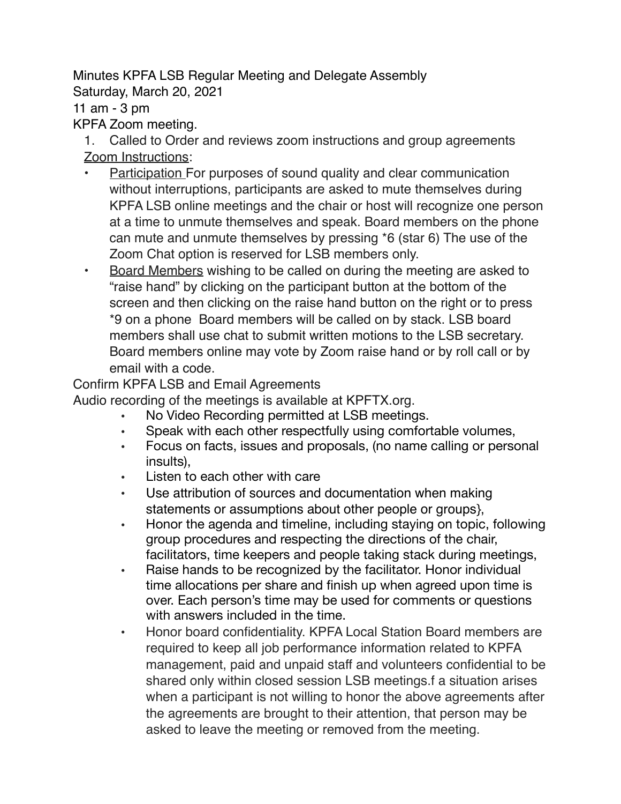Minutes KPFA LSB Regular Meeting and Delegate Assembly Saturday, March 20, 2021 11 am - 3 pm KPFA Zoom meeting.

1. Called to Order and reviews zoom instructions and group agreements Zoom Instructions:

- Participation For purposes of sound quality and clear communication without interruptions, participants are asked to mute themselves during KPFA LSB online meetings and the chair or host will recognize one person at a time to unmute themselves and speak. Board members on the phone can mute and unmute themselves by pressing \*6 (star 6) The use of the Zoom Chat option is reserved for LSB members only.
- Board Members wishing to be called on during the meeting are asked to "raise hand" by clicking on the participant button at the bottom of the screen and then clicking on the raise hand button on the right or to press \*9 on a phone Board members will be called on by stack. LSB board members shall use chat to submit written motions to the LSB secretary. Board members online may vote by Zoom raise hand or by roll call or by email with a code.

Confirm KPFA LSB and Email Agreements

Audio recording of the meetings is available at KPFTX.org.

- No Video Recording permitted at LSB meetings.
- Speak with each other respectfully using comfortable volumes,
- Focus on facts, issues and proposals, (no name calling or personal insults),
- Listen to each other with care
- Use attribution of sources and documentation when making statements or assumptions about other people or groups},
- Honor the agenda and timeline, including staying on topic, following group procedures and respecting the directions of the chair, facilitators, time keepers and people taking stack during meetings,
- Raise hands to be recognized by the facilitator. Honor individual time allocations per share and finish up when agreed upon time is over. Each person's time may be used for comments or questions with answers included in the time.
- Honor board confidentiality. KPFA Local Station Board members are required to keep all job performance information related to KPFA management, paid and unpaid staff and volunteers confidential to be shared only within closed session LSB meetings.f a situation arises when a participant is not willing to honor the above agreements after the agreements are brought to their attention, that person may be asked to leave the meeting or removed from the meeting.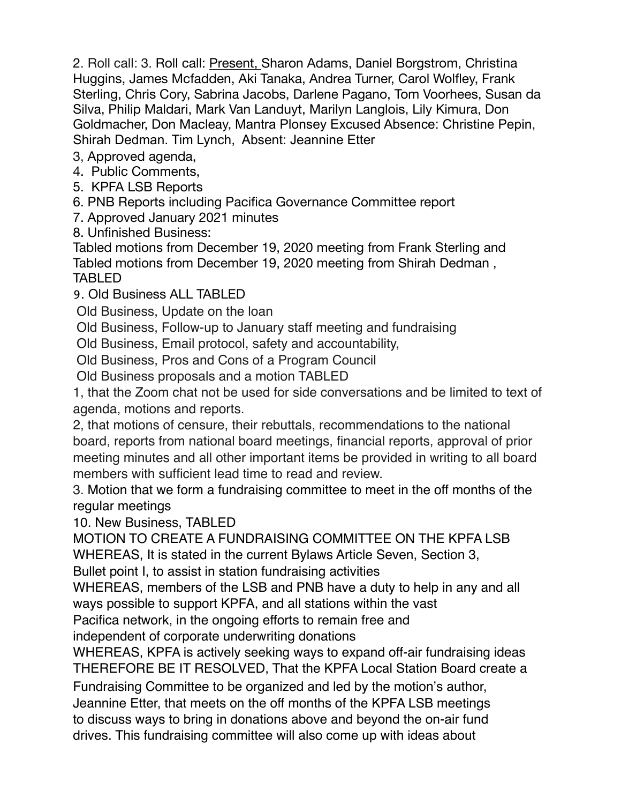2. Roll call: 3. Roll call: Present, Sharon Adams, Daniel Borgstrom, Christina Huggins, James Mcfadden, Aki Tanaka, Andrea Turner, Carol Wolfley, Frank Sterling, Chris Cory, Sabrina Jacobs, Darlene Pagano, Tom Voorhees, Susan da Silva, Philip Maldari, Mark Van Landuyt, Marilyn Langlois, Lily Kimura, Don Goldmacher, Don Macleay, Mantra Plonsey Excused Absence: Christine Pepin, Shirah Dedman. Tim Lynch, Absent: Jeannine Etter

3, Approved agenda,

4. Public Comments,

5. KPFA LSB Reports

6. PNB Reports including Pacifica Governance Committee report

7. Approved January 2021 minutes

8. Unfinished Business:

Tabled motions from December 19, 2020 meeting from Frank Sterling and Tabled motions from December 19, 2020 meeting from Shirah Dedman , TABLED

9. Old Business ALL TABLED

Old Business, Update on the loan

Old Business, Follow-up to January staff meeting and fundraising

Old Business, Email protocol, safety and accountability,

Old Business, Pros and Cons of a Program Council

Old Business proposals and a motion TABLED

1, that the Zoom chat not be used for side conversations and be limited to text of agenda, motions and reports.

2, that motions of censure, their rebuttals, recommendations to the national board, reports from national board meetings, financial reports, approval of prior meeting minutes and all other important items be provided in writing to all board members with sufficient lead time to read and review.

3. Motion that we form a fundraising committee to meet in the off months of the regular meetings

10. New Business, TABLED

MOTION TO CREATE A FUNDRAISING COMMITTEE ON THE KPFA LSB WHEREAS, It is stated in the current Bylaws Article Seven, Section 3,

Bullet point I, to assist in station fundraising activities

WHEREAS, members of the LSB and PNB have a duty to help in any and all ways possible to support KPFA, and all stations within the vast

Pacifica network, in the ongoing efforts to remain free and

independent of corporate underwriting donations

WHEREAS, KPFA is actively seeking ways to expand off-air fundraising ideas THEREFORE BE IT RESOLVED, That the KPFA Local Station Board create a

Fundraising Committee to be organized and led by the motion's author,

Jeannine Etter, that meets on the off months of the KPFA LSB meetings to discuss ways to bring in donations above and beyond the on-air fund

drives. This fundraising committee will also come up with ideas about